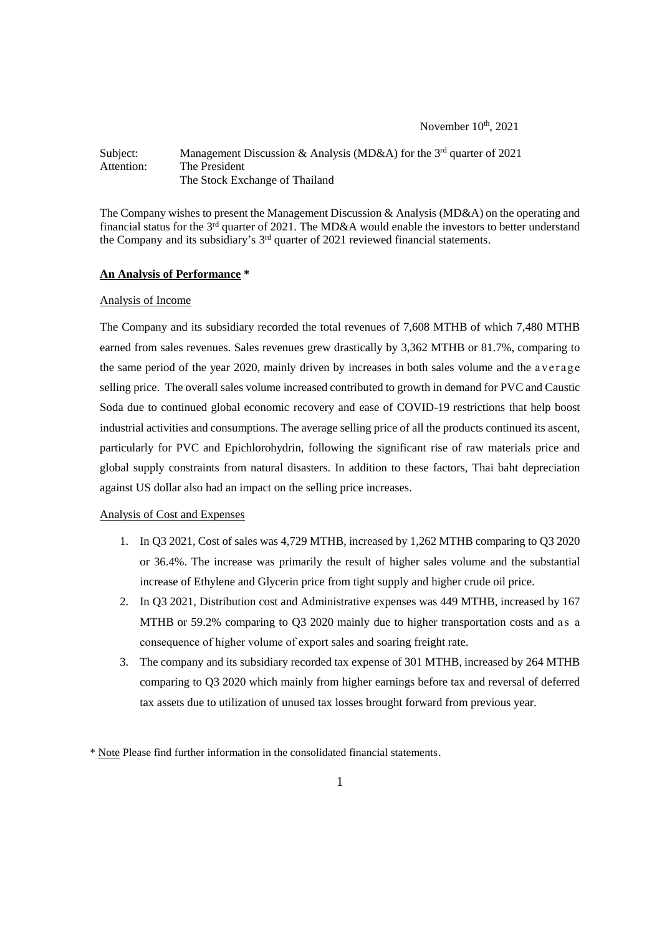November 10<sup>th</sup>, 2021

## Subject: Management Discussion & Analysis (MD&A) for the 3<sup>rd</sup> quarter of 2021 Attention: The President The Stock Exchange of Thailand

The Company wishes to present the Management Discussion & Analysis (MD&A) on the operating and financial status for the 3<sup>rd</sup> quarter of 2021. The MD&A would enable the investors to better understand the Company and its subsidiary's 3<sup>rd</sup> quarter of 2021 reviewed financial statements.

#### **An Analysis of Performance \***

### Analysis of Income

The Company and its subsidiary recorded the total revenues of 7,608 MTHB of which 7,480 MTHB earned from sales revenues. Sales revenues grew drastically by 3,362 MTHB or 81.7%, comparing to the same period of the year 2020, mainly driven by increases in both sales volume and the average selling price. The overall sales volume increased contributed to growth in demand for PVC and Caustic Soda due to continued global economic recovery and ease of COVID-19 restrictions that help boost industrial activities and consumptions. The average selling price of all the products continued its ascent, particularly for PVC and Epichlorohydrin, following the significant rise of raw materials price and global supply constraints from natural disasters. In addition to these factors, Thai baht depreciation against US dollar also had an impact on the selling price increases.

## Analysis of Cost and Expenses

- 1. In Q3 2021, Cost of sales was 4,729 MTHB, increased by 1,262 MTHB comparing to Q3 2020 or 36.4%. The increase was primarily the result of higher sales volume and the substantial increase of Ethylene and Glycerin price from tight supply and higher crude oil price.
- 2. In Q3 2021, Distribution cost and Administrative expenses was 449 MTHB, increased by 167 MTHB or 59.2% comparing to Q3 2020 mainly due to higher transportation costs and as a consequence of higher volume of export sales and soaring freight rate.
- 3. The company and its subsidiary recorded tax expense of 301 MTHB, increased by 264 MTHB comparing to Q3 2020 which mainly from higher earnings before tax and reversal of deferred tax assets due to utilization of unused tax losses brought forward from previous year.

<sup>\*</sup> Note Please find further information in the consolidated financial statements.